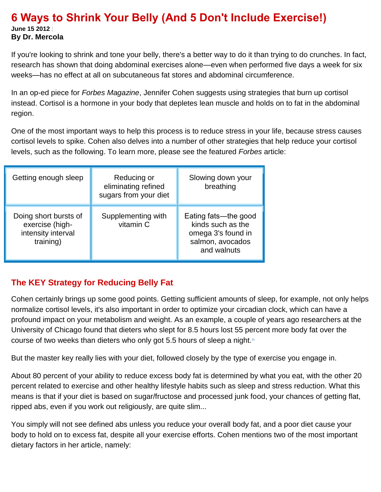## **6 Ways to Shrink Your Belly (And 5 Don't Include Exercise!) June 15 2012 | By Dr. Mercola**

If you're looking to shrink and tone your belly, there's a better way to do it than trying to do crunches. In fact, research has shown that doing abdominal exercises alone—even when performed five days a week for six weeks—has no effect at all on subcutaneous fat stores and abdominal circumference.

In an op-ed piece for *Forbes Magazine*, Jennifer Cohen suggests using strategies that burn up cortisol instead. Cortisol is a hormone in your body that depletes lean muscle and holds on to fat in the abdominal region.

One of the most important ways to help this process is to reduce stress in your life, because stress causes cortisol levels to spike. Cohen also delves into a number of other strategies that help reduce your cortisol levels, such as the following. To learn more, please see the featured *Forbes* article:

| Getting enough sleep                                                        | Reducing or<br>eliminating refined<br>sugars from your diet | Slowing down your<br>breathing                                                                     |
|-----------------------------------------------------------------------------|-------------------------------------------------------------|----------------------------------------------------------------------------------------------------|
| Doing short bursts of<br>exercise (high-<br>intensity interval<br>training) | Supplementing with<br>vitamin C                             | Eating fats—the good<br>kinds such as the<br>omega 3's found in<br>salmon, avocados<br>and walnuts |

## **The KEY Strategy for Reducing Belly Fat**

Cohen certainly brings up some good points. Getting sufficient amounts of sleep, for example, not only helps normalize cortisol levels, it's also important in order to optimize your circadian clock, which can have a profound impact on your metabolism and weight. As an example, a couple of years ago researchers at the University of Chicago found that dieters who slept for 8.5 hours lost 55 percent more body fat over the course of two weeks than dieters who only got 5.5 hours of sleep a night. $\ddot{=}$ 

But the master key really lies with your diet, followed closely by the type of exercise you engage in.

About 80 percent of your ability to reduce excess body fat is determined by what you eat, with the other 20 percent related to exercise and other healthy lifestyle habits such as sleep and stress reduction. What this means is that if your diet is based on sugar/fructose and processed junk food, your chances of getting flat, ripped abs, even if you work out religiously, are quite slim...

You simply will not see defined abs unless you reduce your overall body fat, and a poor diet cause your body to hold on to excess fat, despite all your exercise efforts. Cohen mentions two of the most important dietary factors in her article, namely: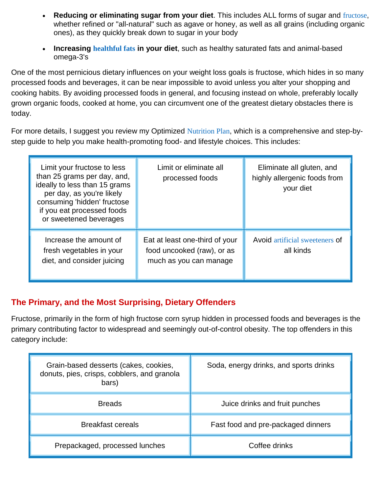- **Reducing or eliminating sugar from your diet**. This includes ALL forms of sugar and [fructose](http://articles.mercola.com/sites/articles/archive/2010/01/02/highfructose-corn-syrup-alters-human-metabolism.aspx), whether refined or "all-natural" such as agave or honey, as well as all grains (including organic ones), as they quickly break down to sugar in your body
- **Increasing [healthful fats](http://articles.mercola.com/sites/articles/archive/2011/08/08/eating-fat-wont-make-you-fat-but-these-10-things-will.aspx) in your diet**, such as healthy saturated fats and animal-based omega-3's

One of the most pernicious dietary influences on your weight loss goals is fructose, which hides in so many processed foods and beverages, it can be near impossible to avoid unless you alter your shopping and cooking habits. By avoiding processed foods in general, and focusing instead on whole, preferably locally grown organic foods, cooked at home, you can circumvent one of the greatest dietary obstacles there is today.

For more details, I suggest you review my Optimized [Nutrition Plan](http://www.mercola.com/nutritionplan/index2.htm), which is a comprehensive and step-bystep guide to help you make health-promoting food- and lifestyle choices. This includes:

| Limit your fructose to less<br>than 25 grams per day, and,<br>ideally to less than 15 grams<br>per day, as you're likely<br>consuming 'hidden' fructose<br>if you eat processed foods<br>or sweetened beverages | Limit or eliminate all<br>processed foods                                              | Eliminate all gluten, and<br>highly allergenic foods from<br>your diet |
|-----------------------------------------------------------------------------------------------------------------------------------------------------------------------------------------------------------------|----------------------------------------------------------------------------------------|------------------------------------------------------------------------|
| Increase the amount of<br>fresh vegetables in your<br>diet, and consider juicing                                                                                                                                | Eat at least one-third of your<br>food uncooked (raw), or as<br>much as you can manage | Avoid artificial sweeteners of<br>all kinds                            |

## **The Primary, and the Most Surprising, Dietary Offenders**

Fructose, primarily in the form of high fructose corn syrup hidden in processed foods and beverages is the primary contributing factor to widespread and seemingly out-of-control obesity. The top offenders in this category include:

| Grain-based desserts (cakes, cookies,<br>donuts, pies, crisps, cobblers, and granola<br>bars) | Soda, energy drinks, and sports drinks |  |
|-----------------------------------------------------------------------------------------------|----------------------------------------|--|
| <b>Breads</b>                                                                                 | Juice drinks and fruit punches         |  |
| <b>Breakfast cereals</b>                                                                      | Fast food and pre-packaged dinners     |  |
| Prepackaged, processed lunches                                                                | Coffee drinks                          |  |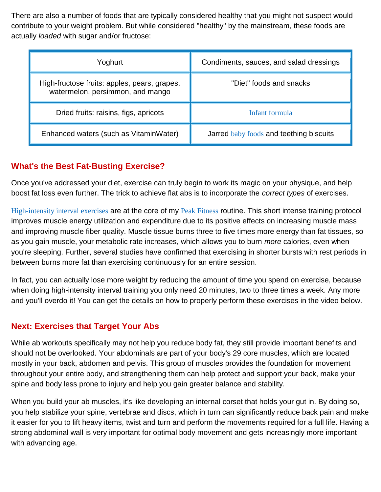There are also a number of foods that are typically considered healthy that you might not suspect would contribute to your weight problem. But while considered "healthy" by the mainstream, these foods are actually *loaded* with sugar and/or fructose:

| Yoghurt                                                                          | Condiments, sauces, and salad dressings |  |
|----------------------------------------------------------------------------------|-----------------------------------------|--|
| High-fructose fruits: apples, pears, grapes,<br>watermelon, persimmon, and mango | "Diet" foods and snacks                 |  |
| Dried fruits: raisins, figs, apricots                                            | Infant formula                          |  |
| Enhanced waters (such as VitaminWater)                                           | Jarred baby foods and teething biscuits |  |

## **What's the Best Fat-Busting Exercise?**

Once you've addressed your diet, exercise can truly begin to work its magic on your physique, and help boost fat loss even further. The trick to achieve flat abs is to incorporate the *correct types* of exercises.

[High-intensity interval exercises](http://fitness.mercola.com/sites/fitness/archive/2010/11/13/phil-campbell-on-sprint-8-exercises.aspx) are at the core of my [Peak Fitness](http://fitness.mercola.com/sites/fitness/archive/2012/02/10/phil-campbell-interview.aspx) routine. This short intense training protocol improves muscle energy utilization and expenditure due to its positive effects on increasing muscle mass and improving muscle fiber quality. Muscle tissue burns three to five times more energy than fat tissues, so as you gain muscle, your metabolic rate increases, which allows you to burn *more* calories, even when you're sleeping. Further, several studies have confirmed that exercising in shorter bursts with rest periods in between burns more fat than exercising continuously for an entire session.

In fact, you can actually lose more weight by reducing the amount of time you spend on exercise, because when doing high-intensity interval training you only need 20 minutes, two to three times a week. Any more and you'll overdo it! You can get the details on how to properly perform these exercises in the video below.

#### **Next: Exercises that Target Your Abs**

While ab workouts specifically may not help you reduce body fat, they still provide important benefits and should not be overlooked. Your abdominals are part of your body's 29 core muscles, which are located mostly in your back, abdomen and pelvis. This group of muscles provides the foundation for movement throughout your entire body, and strengthening them can help protect and support your back, make your spine and body less prone to injury and help you gain greater balance and stability.

When you build your ab muscles, it's like developing an internal corset that holds your gut in. By doing so, you help stabilize your spine, vertebrae and discs, which in turn can significantly reduce back pain and make it easier for you to lift heavy items, twist and turn and perform the movements required for a full life. Having a strong abdominal wall is very important for optimal body movement and gets increasingly more important with advancing age.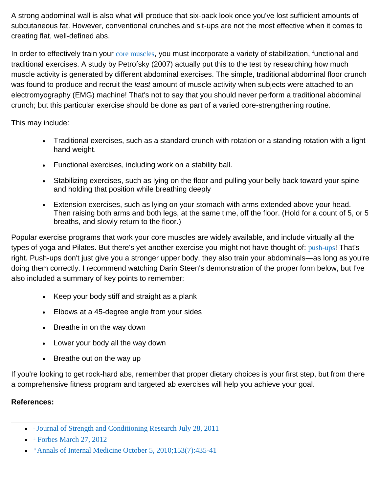A strong abdominal wall is also what will produce that six-pack look once you've lost sufficient amounts of subcutaneous fat. However, conventional crunches and sit-ups are not the most effective when it comes to creating flat, well-defined abs.

In order to effectively train your [core muscles](http://fitness.mercola.com/sites/fitness/archive/2011/02/01/best-exercise-for-abs.aspx), you must incorporate a variety of stabilization, functional and traditional exercises. A study by Petrofsky (2007) actually put this to the test by researching how much muscle activity is generated by different abdominal exercises. The simple, traditional abdominal floor crunch was found to produce and recruit the *least* amount of muscle activity when subjects were attached to an electromyography (EMG) machine! That's not to say that you should never perform a traditional abdominal crunch; but this particular exercise should be done as part of a varied core-strengthening routine.

This may include:

- Traditional exercises, such as a standard crunch with rotation or a standing rotation with a light hand weight.
- Functional exercises, including work on a stability ball.
- Stabilizing exercises, such as lying on the floor and pulling your belly back toward your spine and holding that position while breathing deeply
- Extension exercises, such as lying on your stomach with arms extended above your head. Then raising both arms and both legs, at the same time, off the floor. (Hold for a count of 5, or 5 breaths, and slowly return to the floor.)

Popular exercise programs that work your core muscles are widely available, and include virtually all the types of yoga and Pilates. But there's yet another exercise you might not have thought of: [push-ups](http://fitness.mercola.com/sites/fitness/archive/2011/04/08/for-killer-abs-try-some--pushups.aspx)! That's right. Push-ups don't just give you a stronger upper body, they also train your abdominals—as long as you're doing them correctly. I recommend watching Darin Steen's demonstration of the proper form below, but I've also included a summary of key points to remember:

- Keep your body stiff and straight as a plank
- Elbows at a 45-degree angle from your sides
- Breathe in on the way down
- Lower your body all the way down
- Breathe out on the way up

If you're looking to get rock-hard abs, remember that proper dietary choices is your first step, but from there a comprehensive fitness program and targeted ab exercises will help you achieve your goal.

#### **References:**

- [i](http://fitness.mercola.com/sites/fitness/archive/2012/06/15/interval-exercises-to-burn-belly-fat.aspx#_ednref1) [Journal of Strength and Conditioning Research July 28, 2011](http://www.ncbi.nlm.nih.gov/pubmed/21804427)
- *[ii](http://fitness.mercola.com/sites/fitness/archive/2012/06/15/interval-exercises-to-burn-belly-fat.aspx#_ednref2)* [Forbes March 27, 2012](http://www.forbes.com/sites/jennifercohen/2012/03/27/6-ways-to-burn-your-belly-fat-fast/)
- $\bullet$  "Annals of Internal Medicine October 5, 2010;153(7):435-41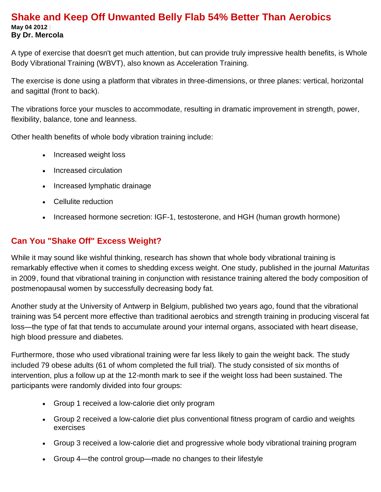#### **Shake and Keep Off Unwanted Belly Flab 54% Better Than Aerobics May 04 2012 | By Dr. Mercola**

A type of exercise that doesn't get much attention, but can provide truly impressive health benefits, is Whole Body Vibrational Training (WBVT), also known as Acceleration Training.

The exercise is done using a platform that vibrates in three-dimensions, or three planes: vertical, horizontal and sagittal (front to back).

The vibrations force your muscles to accommodate, resulting in dramatic improvement in strength, power, flexibility, balance, tone and leanness.

Other health benefits of whole body vibration training include:

- Increased weight loss
- Increased circulation
- Increased lymphatic drainage
- Cellulite reduction
- Increased hormone secretion: IGF-1, testosterone, and HGH (human growth hormone)

#### **Can You "Shake Off" Excess Weight?**

While it may sound like wishful thinking, research has shown that whole body vibrational training is remarkably effective when it comes to shedding excess weight. One study, published in the journal *Maturitas* in 200[9](http://fitness.mercola.com/sites/fitness/archive/2012/05/04/power-plate-acceleration-training-program.aspx#_edn1), found that vibrational training in conjunction with resistance training altered the body composition of postmenopausal women by successfully decreasing body fat.

Another study at the University of Antwerp in Belgium, published two years ago, found that the vibrational training was 54 percent more effective than traditional aerobics and strength training in producing visceral fat loss—the type of fat that tends to accumulate around your internal organs, associated with heart disease, high blood pressure and diabetes.

Furthermore, those who used vibrational training were far less likely to gain the weight back. The study included 79 obese adults (61 of whom completed the full trial). The study consisted of six months of intervention, plus a follow up at the 12-month mark to see if the weight loss had been sustained. The participants were randomly divided into four groups:

- Group 1 received a low-calorie diet only program
- Group 2 received a low-calorie diet plus conventional fitness program of cardio and weights exercises
- Group 3 received a low-calorie diet and progressive whole body vibrational training program
- Group 4—the control group—made no changes to their lifestyle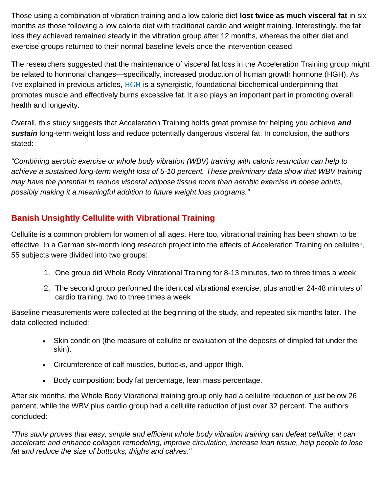Those using a combination of vibration training and a low calorie diet **lost twice as much visceral fat** in six months as those following a low calorie diet with traditional cardio and weight training. Interestingly, the fat loss they achieved remained steady in the vibration group after 12 months, whereas the other diet and exercise groups returned to their normal baseline levels once the intervention ceased.

The researchers suggested that the maintenance of visceral fat loss in the Acceleration Training group might be related to hormonal changes—specifically, increased production of human growth hormone (HGH). As I've explained in previous articles, [HGH](http://fitness.mercola.com/sites/fitness/archive/2010/12/24/a-fountain-of-youth-in-your-muscles.aspx) is a synergistic, foundational biochemical underpinning that promotes muscle and effectively burns excessive fat. It also plays an important part in promoting overall health and longevity.

Overall, this study suggests that Acceleration Training holds great promise for helping you achieve *and sustain* long-term weight loss and reduce potentially dangerous visceral fat. In conclusion, the authors stated:

*"Combining aerobic exercise or whole body vibration (WBV) training with caloric restriction can help to achieve a sustained long-term weight loss of 5-10 percent. These preliminary data show that WBV training may have the potential to reduce visceral adipose tissue more than aerobic exercise in obese adults, possibly making it a meaningful addition to future weight loss programs."*

## **Banish Unsightly Cellulite with Vibrational Training**

Cellulite is a common problem for women of all ages. Here too, vibrational training has been shown to be [e](http://fitness.mercola.com/sites/fitness/archive/2012/05/04/power-plate-acceleration-training-program.aspx#_edn3)ffective. In a German six-month long research project into the effects of Acceleration Training on cellulite<sup>ii</sup>, 55 subjects were divided into two groups:

- 1. One group did Whole Body Vibrational Training for 8-13 minutes, two to three times a week
- 2. The second group performed the identical vibrational exercise, plus another 24-48 minutes of cardio training, two to three times a week

Baseline measurements were collected at the beginning of the study, and repeated six months later. The data collected included:

- Skin condition (the measure of cellulite or evaluation of the deposits of dimpled fat under the skin).
- Circumference of calf muscles, buttocks, and upper thigh.
- Body composition: body fat percentage, lean mass percentage.

After six months, the Whole Body Vibrational training group only had a cellulite reduction of just below 26 percent, while the WBV plus cardio group had a cellulite reduction of just over 32 percent. The authors concluded:

*"This study proves that easy, simple and efficient whole body vibration training can defeat cellulite; it can accelerate and enhance collagen remodeling, improve circulation, increase lean tissue, help people to lose fat and reduce the size of buttocks, thighs and calves."*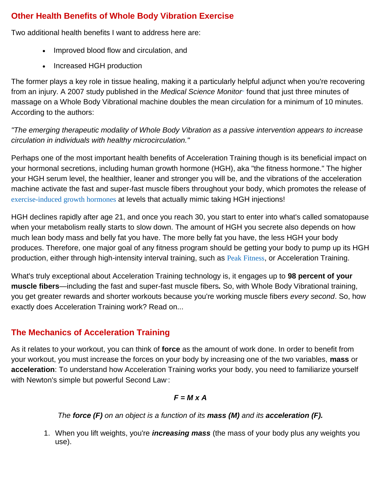## **Other Health Benefits of Whole Body Vibration Exercise**

Two additional health benefits I want to address here are:

- Improved blood flow and circulation, and
- Increased HGH production

The former plays a key role in tissue healing, making it a particularly helpful adjunct when you're recovering f[r](http://fitness.mercola.com/sites/fitness/archive/2012/05/04/power-plate-acceleration-training-program.aspx#_edn4)om an injury. A 2007 study published in the *Medical Science Monitor*<sup>*f*</sup> found that just three minutes of massage on a Whole Body Vibrational machine doubles the mean circulation for a minimum of 10 minutes. According to the authors:

*"The emerging therapeutic modality of Whole Body Vibration as a passive intervention appears to increase circulation in individuals with healthy microcirculation."* 

Perhaps one of the most important health benefits of Acceleration Training though is its beneficial impact on your hormonal secretions, including human growth hormone (HGH), aka "the fitness hormone." The higher your HGH serum level, the healthier, leaner and stronger you will be, and the vibrations of the acceleration machine activate the fast and super-fast muscle fibers throughout your body, which promotes the release of [exercise-induced growth hormones](http://fitness.mercola.com/sites/fitness/archive/2010/07/27/the-growing-promise-of-shorter-more-intense-strength-training-workouts.aspx) at levels that actually mimic taking HGH injections!

HGH declines rapidly after age 21, and once you reach 30, you start to enter into what's called somatopause when your metabolism really starts to slow down. The amount of HGH you secrete also depends on how much lean body mass and belly fat you have. The more belly fat you have, the less HGH your body produces. Therefore, one major goal of any fitness program should be getting your body to pump up its HGH production, either through high-intensity interval training, such as [Peak Fitness](http://fitness.mercola.com/sites/fitness/archive/2010/12/24/a-fountain-of-youth-in-your-muscles.aspx), or Acceleration Training.

What's truly exceptional about Acceleration Training technology is, it engages up to **98 percent of your muscle fibers**—including the fast and super-fast muscle fibers*.* So, with Whole Body Vibrational training, you get greater rewards and shorter workouts because you're working muscle fibers *every second*. So, how exactly does Acceleration Training work? Read on...

## **The Mechanics of Acceleration Training**

As it relates to your workout, you can think of **force** as the amount of work done. In order to benefit from your workout, you must increase the forces on your body by increasing one of the two variables, **mass** or **acceleration**: To understand how Acceleration Training works your body, you need to familiarize yourself with Newton's simple but powerful Second Law[:](http://fitness.mercola.com/sites/fitness/archive/2012/05/04/power-plate-acceleration-training-program.aspx#_edn5)

#### *F = M x A*

*The force (F) on an object is a function of its mass (M) and its acceleration (F).*

1. When you lift weights, you're *increasing mass* (the mass of your body plus any weights you use).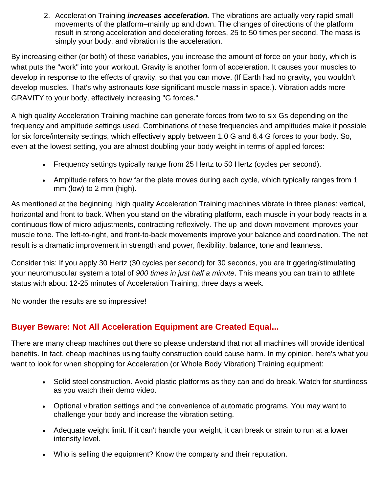2. Acceleration Training *increases acceleration.* The vibrations are actually very rapid small movements of the platform–mainly up and down. The changes of directions of the platform result in strong acceleration and decelerating forces, 25 to 50 times per second. The mass is simply your body, and vibration is the acceleration.

By increasing either (or both) of these variables, you increase the amount of force on your body, which is what puts the "work" into your workout. Gravity is another form of acceleration. It causes your muscles to develop in response to the effects of gravity, so that you can move. (If Earth had no gravity, you wouldn't develop muscles. That's why astronauts *lose* significant muscle mass in space.). Vibration adds more GRAVITY to your body, effectively increasing "G forces."

A high quality Acceleration Training machine can generate forces from two to six Gs depending on the frequency and amplitude settings used. Combinations of these frequencies and amplitudes make it possible for six force/intensity settings, which effectively apply between 1.0 G and 6.4 G forces to your body. So, even at the lowest setting, you are almost doubling your body weight in terms of applied forces:

- Frequency settings typically range from 25 Hertz to 50 Hertz (cycles per second).
- Amplitude refers to how far the plate moves during each cycle, which typically ranges from 1 mm (low) to 2 mm (high).

As mentioned at the beginning, high quality Acceleration Training machines vibrate in three planes: vertical, horizontal and front to back. When you stand on the vibrating platform, each muscle in your body reacts in a continuous flow of micro adjustments, contracting reflexively. The up-and-down movement improves your muscle tone. The left-to-right, and front-to-back movements improve your balance and coordination. The net result is a dramatic improvement in strength and power, flexibility, balance, tone and leanness.

Consider this: If you apply 30 Hertz (30 cycles per second) for 30 seconds, you are triggering/stimulating your neuromuscular system a total of *900 times in just half a minute*. This means you can train to athlete status with about 12-25 minutes of Acceleration Training, three days a week.

No wonder the results are so impressive!

## **Buyer Beware: Not All Acceleration Equipment are Created Equal...**

There are many cheap machines out there so please understand that not all machines will provide identical benefits. In fact, cheap machines using faulty construction could cause harm. In my opinion, here's what you want to look for when shopping for Acceleration (or Whole Body Vibration) Training equipment:

- Solid steel construction. Avoid plastic platforms as they can and do break. Watch for sturdiness as you watch their demo video.
- Optional vibration settings and the convenience of automatic programs. You may want to challenge your body and increase the vibration setting.
- Adequate weight limit. If it can't handle your weight, it can break or strain to run at a lower intensity level.
- Who is selling the equipment? Know the company and their reputation.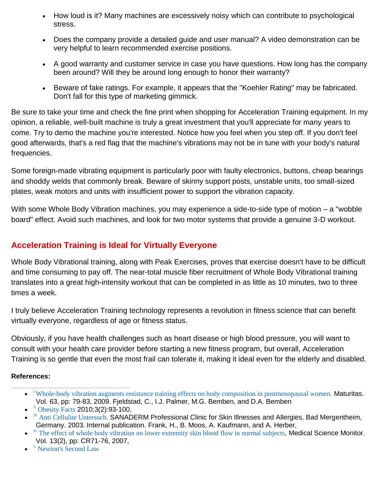- How loud is it? Many machines are excessively noisy which can contribute to psychological stress.
- Does the company provide a detailed guide and user manual? A video demonstration can be very helpful to learn recommended exercise positions.
- A good warranty and customer service in case you have questions. How long has the company been around? Will they be around long enough to honor their warranty?
- Beware of fake ratings. For example, it appears that the "Koehler Rating" may be fabricated. Don't fall for this type of marketing gimmick.

Be sure to take your time and check the fine print when shopping for Acceleration Training equipment. In my opinion, a reliable, well-built machine is truly a great investment that you'll appreciate for many years to come. Try to demo the machine you're interested. Notice how you feel when you step off. If you don't feel good afterwards, that's a red flag that the machine's vibrations may not be in tune with your body's natural frequencies.

Some foreign-made vibrating equipment is particularly poor with faulty electronics, buttons, cheap bearings and shoddy welds that commonly break. Beware of skinny support posts, unstable units, too small-sized plates, weak motors and units with insufficient power to support the vibration capacity.

With some Whole Body Vibration machines, you may experience a side-to-side type of motion – a "wobble board" effect. Avoid such machines, and look for two motor systems that provide a genuine 3-D workout.

## **Acceleration Training is Ideal for Virtually Everyone**

Whole Body Vibrational training, along with Peak Exercises, proves that exercise doesn't have to be difficult and time consuming to pay off. The near-total muscle fiber recruitment of Whole Body Vibrational training translates into a great high-intensity workout that can be completed in as little as 10 minutes, two to three times a week.

I truly believe Acceleration Training technology represents a revolution in fitness science that can benefit virtually everyone, regardless of age or fitness status.

Obviously, if you have health challenges such as heart disease or high blood pressure, you will want to consult with your health care provider before starting a new fitness program, but overall, Acceleration Training is so gentle that even the most frail can tolerate it, making it ideal even for the elderly and disabled.

#### **References:**

• <sup>i</sup>[Whole-body vibration augments resistance training effects on body composition in postmenopausal women.](http://fitness.mercola.com/sites/fitness/archive/2012/05/04/power-plate-acceleration-training-program.aspx#_ednref1) Maturitas. Vol. 63, pp: 79-83, 2009. Fjeldstad, C., I.J. Palmer, M.G. Bemben, and D.A. Bemben

 $\bullet$  <sup>[ii](http://fitness.mercola.com/sites/fitness/archive/2012/05/04/power-plate-acceleration-training-program.aspx#_ednref2)</sup> [Obesity Facts](http://www.ncbi.nlm.nih.gov/pubmed/20484941) 2010;3(2):93-100,

 $\bullet$ [iii](http://fitness.mercola.com/sites/fitness/archive/2012/05/04/power-plate-acceleration-training-program.aspx#_ednref3) [Anti Cellulite Untersuch.](http://www.powerplate.com/resources/htm/research/research-cards/beauty/en/power-plate-training-helps-reduce-cellulite.htm) SANADERM Professional Clinic for Skin Illnesses and Allergies, Bad Mergentheim, Germany. 2003. Internal publication. Frank, H., B. Moos, A. Kaufmann, and A. Herber,

 $\bullet$  [iv](http://fitness.mercola.com/sites/fitness/archive/2012/05/04/power-plate-acceleration-training-program.aspx#_ednref4) [The effect of whole body vibration on lower extremity skin blood flow in normal subjects](http://www.ncbi.nlm.nih.gov/pubmed/17261985), Medical Science Monitor. Vol. 13(2), pp: CR71-76, 2007,

<sup>•</sup> V [Newton's Second Law](http://csep10.phys.utk.edu/astr161/lect/history/newton3laws.html)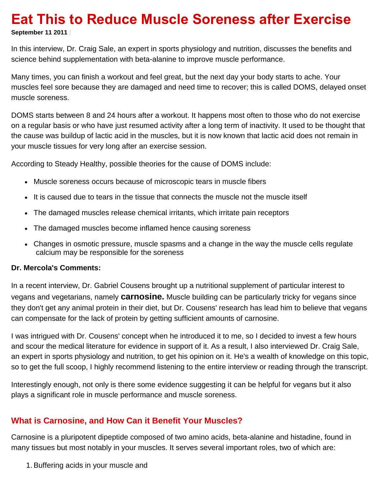# **Eat This to Reduce Muscle Soreness after Exercise**

**September 11 2011 |**

In this interview, Dr. Craig Sale, an expert in sports physiology and nutrition, discusses the benefits and science behind supplementation with beta-alanine to improve muscle performance.

Many times, you can finish a workout and feel great, but the next day your body starts to ache. Your muscles feel sore because they are damaged and need time to recover; this is called DOMS, delayed onset muscle soreness.

DOMS starts between 8 and 24 hours after a workout. It happens most often to those who do not exercise on a regular basis or who have just resumed activity after a long term of inactivity. It used to be thought that the cause was buildup of lactic acid in the muscles, but it is now known that lactic acid does not remain in your muscle tissues for very long after an exercise session.

According to Steady Healthy, possible theories for the cause of DOMS include:

- Muscle soreness occurs because of microscopic tears in muscle fibers
- It is caused due to tears in the tissue that connects the muscle not the muscle itself
- The damaged muscles release chemical irritants, which irritate pain receptors
- The damaged muscles become inflamed hence causing soreness
- Changes in osmotic pressure, muscle spasms and a change in the way the muscle cells regulate calcium may be responsible for the soreness

#### **Dr. Mercola's Comments:**

In a recent interview, Dr. Gabriel Cousens brought up a nutritional supplement of particular interest to vegans and vegetarians, namely **carnosine.** Muscle building can be particularly tricky for vegans since they don't get any animal protein in their diet, but Dr. Cousens' research has lead him to believe that vegans can compensate for the lack of protein by getting sufficient amounts of carnosine.

I was intrigued with Dr. Cousens' concept when he introduced it to me, so I decided to invest a few hours and scour the medical literature for evidence in support of it. As a result, I also interviewed Dr. Craig Sale, an expert in sports physiology and nutrition, to get his opinion on it. He's a wealth of knowledge on this topic, so to get the full scoop, I highly recommend listening to the entire interview or reading through the transcript.

Interestingly enough, not only is there some evidence suggesting it can be helpful for vegans but it also plays a significant role in muscle performance and muscle soreness.

## **What is Carnosine, and How Can it Benefit Your Muscles?**

Carnosine is a pluripotent dipeptide composed of two amino acids, beta-alanine and histadine, found in many tissues but most notably in your muscles. It serves several important roles, two of which are:

1.Buffering acids in your muscle and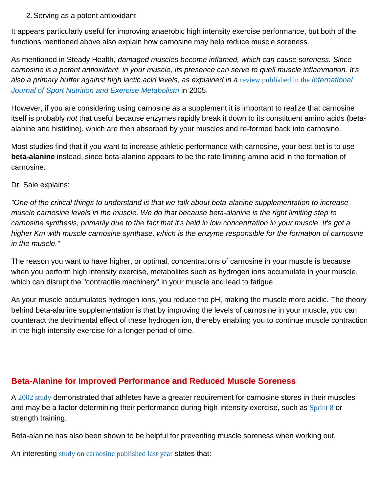2.Serving as a potent antioxidant

It appears particularly useful for improving anaerobic high intensity exercise performance, but both of the functions mentioned above also explain how carnosine may help reduce muscle soreness.

As mentioned in Steady Health, *damaged muscles become inflamed, which can cause soreness. Since carnosine is a potent antioxidant, in your muscle, its presence can serve to quell muscle inflammation. It's also a primary buffer against high lactic acid levels, as explained in a* [review published in the](http://www.biovita.fi/files/pdf/Carnosine_Begum.pdf) *International [Journal of Sport Nutrition and Exercise Metabolism](http://www.biovita.fi/files/pdf/Carnosine_Begum.pdf)* in 2005.

However, if you are considering using carnosine as a supplement it is important to realize that carnosine itself is probably *not* that useful because enzymes rapidly break it down to its constituent amino acids (betaalanine and histidine), which are then absorbed by your muscles and re-formed back into carnosine.

Most studies find that if you want to increase athletic performance with carnosine, your best bet is to use **beta-alanine** instead, since beta-alanine appears to be the rate limiting amino acid in the formation of carnosine.

Dr. Sale explains:

*"One of the critical things to understand is that we talk about beta-alanine supplementation to increase muscle carnosine levels in the muscle. We do that because beta-alanine is the right limiting step to carnosine synthesis, primarily due to the fact that it's held in low concentration in your muscle. It's got a higher Km with muscle carnosine synthase, which is the enzyme responsible for the formation of carnosine in the muscle."* 

The reason you want to have higher, or optimal, concentrations of carnosine in your muscle is because when you perform high intensity exercise, metabolites such as hydrogen ions accumulate in your muscle, which can disrupt the "contractile machinery" in your muscle and lead to fatigue.

As your muscle accumulates hydrogen ions, you reduce the pH, making the muscle more acidic. The theory behind beta-alanine supplementation is that by improving the levels of carnosine in your muscle, you can counteract the detrimental effect of these hydrogen ion, thereby enabling you to continue muscle contraction in the high intensity exercise for a longer period of time.

#### **Beta-Alanine for Improved Performance and Reduced Muscle Soreness**

A [2002 study](http://www.ncbi.nlm.nih.gov/pubmed/12139778) demonstrated that athletes have a greater requirement for carnosine stores in their muscles and may be a factor determining their performance during high-intensity exercise, such as [Sprint 8](http://fitness.mercola.com/sites/fitness/archive/2010/06/26/10-minutes-of-exercise-yields-hourlong-effects.aspx) or strength training.

Beta-alanine has also been shown to be helpful for preventing muscle soreness when working out.

An interesting [study on carnosine published last year](http://adisonline.com/sportsmedicine/Abstract/2010/40030/Muscle_Carnosine_Metabolism_and__beta__Alanine.5.aspx) states that: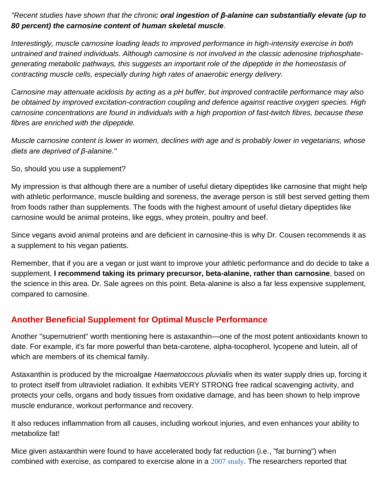*"Recent studies have shown that the chronic oral ingestion of β-alanine can substantially elevate (up to 80 percent) the carnosine content of human skeletal muscle.* 

*Interestingly, muscle carnosine loading leads to improved performance in high-intensity exercise in both untrained and trained individuals. Although carnosine is not involved in the classic adenosine triphosphategenerating metabolic pathways, this suggests an important role of the dipeptide in the homeostasis of contracting muscle cells, especially during high rates of anaerobic energy delivery.* 

*Carnosine may attenuate acidosis by acting as a pH buffer, but improved contractile performance may also be obtained by improved excitation-contraction coupling and defence against reactive oxygen species. High carnosine concentrations are found in individuals with a high proportion of fast-twitch fibres, because these fibres are enriched with the dipeptide.* 

*Muscle carnosine content is lower in women, declines with age and is probably lower in vegetarians, whose diets are deprived of β-alanine."*

So, should you use a supplement?

My impression is that although there are a number of useful dietary dipeptides like carnosine that might help with athletic performance, muscle building and soreness, the average person is still best served getting them from foods rather than supplements. The foods with the highest amount of useful dietary dipeptides like carnosine would be animal proteins, like eggs, whey protein, poultry and beef.

Since vegans avoid animal proteins and are deficient in carnosine-this is why Dr. Cousen recommends it as a supplement to his vegan patients.

Remember, that if you are a vegan or just want to improve your athletic performance and do decide to take a supplement, **I recommend taking its primary precursor, beta-alanine, rather than carnosine**, based on the science in this area. Dr. Sale agrees on this point. Beta-alanine is also a far less expensive supplement, compared to carnosine.

## **Another Beneficial Supplement for Optimal Muscle Performance**

Another "supernutrient" worth mentioning here is astaxanthin—one of the most potent antioxidants known to date. For example, it's far more powerful than beta-carotene, alpha-tocopherol, lycopene and lutein, all of which are members of its chemical family.

Astaxanthin is produced by the microalgae *Haematoccous pluvialis* when its water supply dries up, forcing it to protect itself from ultraviolet radiation. It exhibits VERY STRONG free radical scavenging activity, and protects your cells, organs and body tissues from oxidative damage, and has been shown to help improve muscle endurance, workout performance and recovery.

It also reduces inflammation from all causes, including workout injuries, and even enhances your ability to metabolize fat!

Mice given astaxanthin were found to have accelerated body fat reduction (i.e., "fat burning") when combined with exercise, as compared to exercise alone in a [2007 study](http://www.ncbi.nlm.nih.gov/pubmed/18082622). The researchers reported that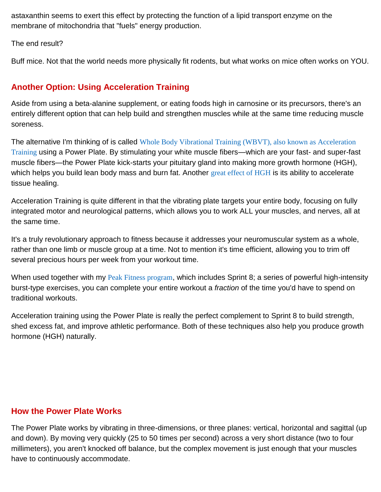astaxanthin seems to exert this effect by protecting the function of a lipid transport enzyme on the membrane of mitochondria that "fuels" energy production.

The end result?

Buff mice. Not that the world needs more physically fit rodents, but what works on mice often works on YOU.

## **Another Option: Using Acceleration Training**

Aside from using a beta-alanine supplement, or eating foods high in carnosine or its precursors, there's an entirely different option that can help build and strengthen muscles while at the same time reducing muscle soreness.

The alternative I'm thinking of is called [Whole Body Vibrational Training \(WBVT\), also known as Acceleration](http://fitness.mercola.com/sites/fitness/archive/2011/02/16/power-plate-the-most-exciting-fitness-breakthrough-in-decades.aspx)  [Training](http://fitness.mercola.com/sites/fitness/archive/2011/02/16/power-plate-the-most-exciting-fitness-breakthrough-in-decades.aspx) using a Power Plate. By stimulating your white muscle fibers—which are your fast- and super-fast muscle fibers—the Power Plate kick-starts your pituitary gland into making more growth hormone (HGH), which helps you build lean body mass and burn fat. Another [great effect of HGH](http://fitness.mercola.com/sites/fitness/archive/2010/07/27/the-growing-promise-of-shorter-more-intense-strength-training-workouts.aspx) is its ability to accelerate tissue healing.

Acceleration Training is quite different in that the vibrating plate targets your entire body, focusing on fully integrated motor and neurological patterns, which allows you to work ALL your muscles, and nerves, all at the same time.

It's a truly revolutionary approach to fitness because it addresses your neuromuscular system as a whole, rather than one limb or muscle group at a time. Not to mention it's time efficient, allowing you to trim off several precious hours per week from your workout time.

When used together with my [Peak Fitness program](http://fitness.mercola.com/sites/fitness/archive/2010/11/13/phil-campbell-on-peak-8-exercises.aspx), which includes Sprint 8; a series of powerful high-intensity burst-type exercises, you can complete your entire workout a *fraction* of the time you'd have to spend on traditional workouts.

Acceleration training using the Power Plate is really the perfect complement to Sprint 8 to build strength, shed excess fat, and improve athletic performance. Both of these techniques also help you produce growth hormone (HGH) naturally.

## **How the Power Plate Works**

The Power Plate works by vibrating in three-dimensions, or three planes: vertical, horizontal and sagittal (up and down). By moving very quickly (25 to 50 times per second) across a very short distance (two to four millimeters), you aren't knocked off balance, but the complex movement is just enough that your muscles have to continuously accommodate.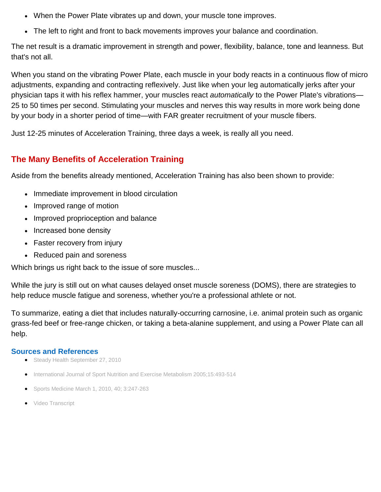- When the Power Plate vibrates up and down, your muscle tone improves.
- The left to right and front to back movements improves your balance and coordination.

The net result is a dramatic improvement in strength and power, flexibility, balance, tone and leanness. But that's not all.

When you stand on the vibrating Power Plate, each muscle in your body reacts in a continuous flow of micro adjustments, expanding and contracting reflexively. Just like when your leg automatically jerks after your physician taps it with his reflex hammer, your muscles react *automatically* to the Power Plate's vibrations— 25 to 50 times per second. Stimulating your muscles and nerves this way results in more work being done by your body in a shorter period of time—with FAR greater recruitment of your muscle fibers.

Just 12-25 minutes of Acceleration Training, three days a week, is really all you need.

## **The Many Benefits of Acceleration Training**

Aside from the benefits already mentioned, Acceleration Training has also been shown to provide:

- Immediate improvement in blood circulation
- Improved range of motion
- Improved proprioception and balance
- Increased bone density
- Faster recovery from injury
- Reduced pain and soreness

Which brings us right back to the issue of sore muscles...

While the jury is still out on what causes delayed onset muscle soreness (DOMS), there are strategies to help reduce muscle fatigue and soreness, whether you're a professional athlete or not.

To summarize, eating a diet that includes naturally-occurring carnosine, i.e. animal protein such as organic grass-fed beef or free-range chicken, or taking a beta-alanine supplement, and using a Power Plate can all help.

#### **Sources and References**

- [Steady Health September 27, 2010](http://www.steadyhealth.com/articles/How_to_Avoid_Sore_Muscles_after_a_Workout_____and_What_to_Do_When_Muscle_Pain_Occurs__a1472.html)
- [International Journal of Sport Nutrition and Exercise Metabolism 2005;15:493-514](http://www.biovita.fi/files/pdf/Carnosine_Begum.pdf)
- [Sports Medicine March 1, 2010, 40; 3:247-263](http://adisonline.com/sportsmedicine/Abstract/2010/40030/Muscle_Carnosine_Metabolism_and__beta__Alanine.5.aspx)
- [Video Transcript](http://mercola.fileburst.com/PDF/ExpertInterviewTranscripts/Interview-Craig-Sale.pdf)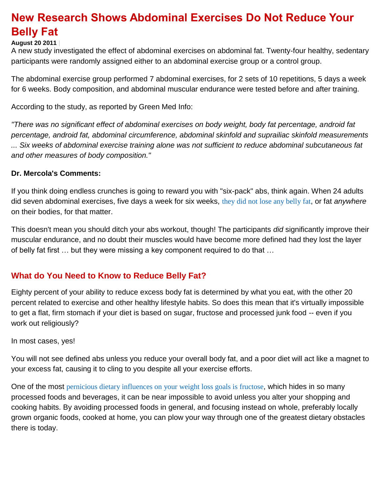## **New Research Shows Abdominal Exercises Do Not Reduce Your Belly Fat**

#### **August 20 2011 |**

A new study investigated the effect of abdominal exercises on abdominal fat. Twenty-four healthy, sedentary participants were randomly assigned either to an abdominal exercise group or a control group.

The abdominal exercise group performed 7 abdominal exercises, for 2 sets of 10 repetitions, 5 days a week for 6 weeks. Body composition, and abdominal muscular endurance were tested before and after training.

According to the study, as reported by Green Med Info:

*"There was no significant effect of abdominal exercises on body weight, body fat percentage, android fat percentage, android fat, abdominal circumference, abdominal skinfold and suprailiac skinfold measurements ... Six weeks of abdominal exercise training alone was not sufficient to reduce abdominal subcutaneous fat and other measures of body composition."*

#### **Dr. Mercola's Comments:**

If you think doing endless crunches is going to reward you with "six-pack" abs, think again. When 24 adults did seven abdominal exercises, five days a week for six weeks, [they did not lose any belly fat](http://www.ncbi.nlm.nih.gov/pubmed/21804427), or fat *anywhere* on their bodies, for that matter.

This doesn't mean you should ditch your abs workout, though! The participants *did* significantly improve their muscular endurance, and no doubt their muscles would have become more defined had they lost the layer of belly fat first … but they were missing a key component required to do that …

#### **What do You Need to Know to Reduce Belly Fat?**

Eighty percent of your ability to reduce excess body fat is determined by what you eat, with the other 20 percent related to exercise and other healthy lifestyle habits. So does this mean that it's virtually impossible to get a flat, firm stomach if your diet is based on sugar, fructose and processed junk food -- even if you work out religiously?

In most cases, yes!

You will not see defined abs unless you reduce your overall body fat, and a poor diet will act like a magnet to your excess fat, causing it to cling to you despite all your exercise efforts.

One of the most [pernicious dietary influences on your weight loss goals is](http://articles.mercola.com/sites/articles/archive/2010/01/02/highfructose-corn-syrup-alters-human-metabolism.aspx) fructose, which hides in so many processed foods and beverages, it can be near impossible to avoid unless you alter your shopping and cooking habits. By avoiding processed foods in general, and focusing instead on whole, preferably locally grown organic foods, cooked at home, you can plow your way through one of the greatest dietary obstacles there is today.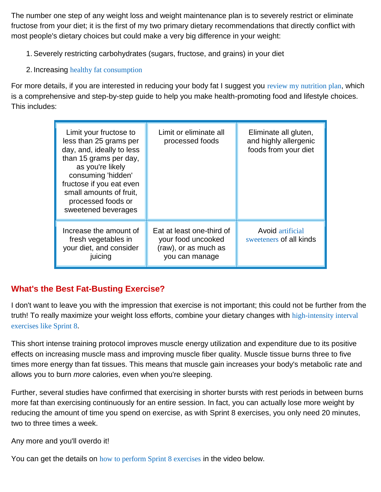The number one step of any weight loss and weight maintenance plan is to severely restrict or eliminate fructose from your diet; it is the first of my two primary dietary recommendations that directly conflict with most people's dietary choices but could make a very big difference in your weight:

- 1.Severely restricting carbohydrates (sugars, fructose, and grains) in your diet
- 2. Increasing [healthy fat consumption](http://articles.mercola.com/sites/articles/archive/2011/08/08/eating-fat-wont-make-you-fat-but-these-10-things-will.aspx)

For more details, if you are interested in reducing your body fat I suggest you [review my nutrition plan](http://www.mercola.com/nutritionplan/index2.htm), which is a comprehensive and step-by-step guide to help you make health-promoting food and lifestyle choices. This includes:

| Limit your fructose to<br>less than 25 grams per<br>day, and, ideally to less<br>than 15 grams per day,<br>as you're likely<br>consuming 'hidden'<br>fructose if you eat even<br>small amounts of fruit,<br>processed foods or<br>sweetened beverages | Limit or eliminate all<br>processed foods                                                 | Eliminate all gluten,<br>and highly allergenic<br>foods from your diet |
|-------------------------------------------------------------------------------------------------------------------------------------------------------------------------------------------------------------------------------------------------------|-------------------------------------------------------------------------------------------|------------------------------------------------------------------------|
| Increase the amount of<br>fresh vegetables in<br>your diet, and consider<br>juicing                                                                                                                                                                   | Eat at least one-third of<br>your food uncooked<br>(raw), or as much as<br>you can manage | Avoid artificial<br>sweeteners of all kinds                            |

## **What's the Best Fat-Busting Exercise?**

I don't want to leave you with the impression that exercise is not important; this could not be further from the truth! To really maximize your weight loss efforts, combine your dietary changes with [high-intensity interval](http://fitness.mercola.com/sites/fitness/archive/2010/11/13/phil-campbell-on-peak-8-exercises.aspx)  [exercises like Sprint 8](http://fitness.mercola.com/sites/fitness/archive/2010/11/13/phil-campbell-on-peak-8-exercises.aspx).

This short intense training protocol improves muscle energy utilization and expenditure due to its positive effects on increasing muscle mass and improving muscle fiber quality. Muscle tissue burns three to five times more energy than fat tissues. This means that muscle gain increases your body's metabolic rate and allows you to burn *more* calories, even when you're sleeping.

Further, several studies have confirmed that exercising in shorter bursts with rest periods in between burns more fat than exercising continuously for an entire session. In fact, you can actually lose more weight by reducing the amount of time you spend on exercise, as with Sprint 8 exercises, you only need 20 minutes, two to three times a week.

Any more and you'll overdo it!

You can get the details on [how to perform Sprint 8 exercises](http://fitness.mercola.com/sites/fitness/archive/2010/11/13/phil-campbell-on-peak-8-exercises.aspx) in the video below.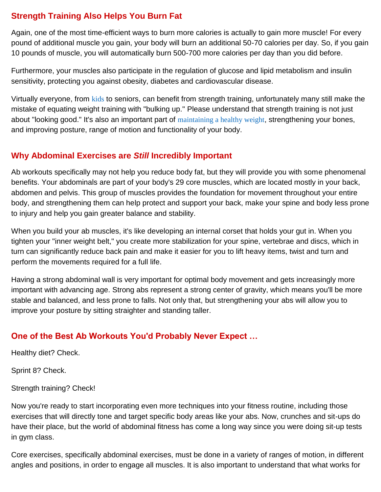## **Strength Training Also Helps You Burn Fat**

Again, one of the most time-efficient ways to burn more calories is actually to gain more muscle! For every pound of additional muscle you gain, your body will burn an additional 50-70 calories per day. So, if you gain 10 pounds of muscle, you will automatically burn 500-700 more calories per day than you did before.

Furthermore, your muscles also participate in the regulation of glucose and lipid metabolism and insulin sensitivity, protecting you against obesity, diabetes and cardiovascular disease.

Virtually everyone, from [kids](http://fitness.mercola.com/sites/fitness/archive/2010/11/25/kids-benefit-from-strength-training.aspx) to seniors, can benefit from strength training, unfortunately many still make the mistake of equating weight training with "bulking up." Please understand that strength training is not just about "looking good." It's also an important part of [maintaining a healthy weight](http://fitness.mercola.com/sites/articles/archive/2009/09/12/10-Reasons-Why-Exercise-is-Good-for-Your-Weight.aspx), strengthening your bones, and improving posture, range of motion and functionality of your body.

## **Why Abdominal Exercises are** *Still* **Incredibly Important**

Ab workouts specifically may not help you reduce body fat, but they will provide you with some phenomenal benefits. Your abdominals are part of your body's 29 core muscles, which are located mostly in your back, abdomen and pelvis. This group of muscles provides the foundation for movement throughout your entire body, and strengthening them can help protect and support your back, make your spine and body less prone to injury and help you gain greater balance and stability.

When you build your ab muscles, it's like developing an internal corset that holds your gut in. When you tighten your "inner weight belt," you create more stabilization for your spine, vertebrae and discs, which in turn can significantly reduce back pain and make it easier for you to lift heavy items, twist and turn and perform the movements required for a full life.

Having a strong abdominal wall is very important for optimal body movement and gets increasingly more important with advancing age. Strong abs represent a strong center of gravity, which means you'll be more stable and balanced, and less prone to falls. Not only that, but strengthening your abs will allow you to improve your posture by sitting straighter and standing taller.

## **One of the Best Ab Workouts You'd Probably Never Expect …**

Healthy diet? Check.

Sprint 8? Check.

Strength training? Check!

Now you're ready to start incorporating even more techniques into your fitness routine, including those exercises that will directly tone and target specific body areas like your abs. Now, crunches and sit-ups do have their place, but the world of abdominal fitness has come a long way since you were doing sit-up tests in gym class.

Core exercises, specifically abdominal exercises, must be done in a variety of ranges of motion, in different angles and positions, in order to engage all muscles. It is also important to understand that what works for